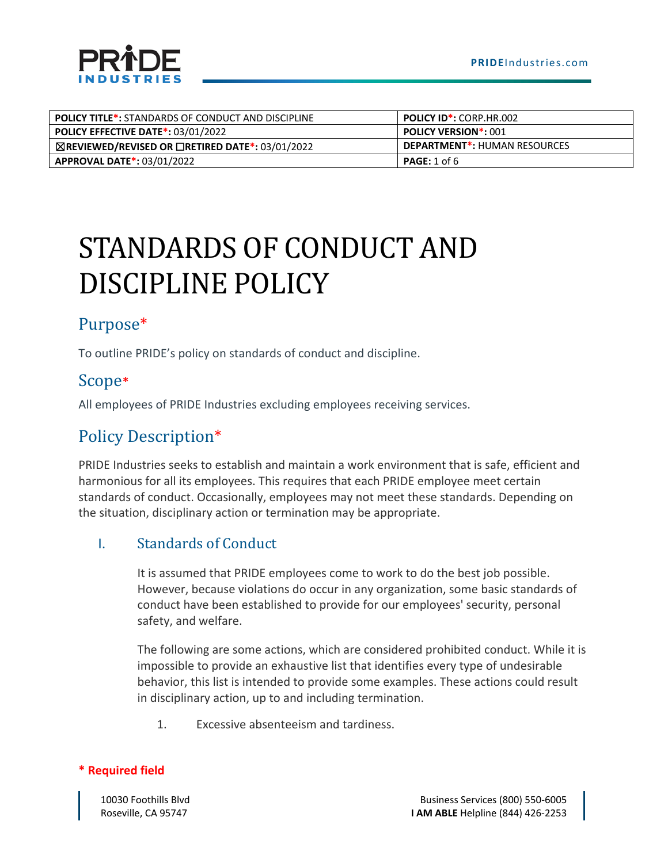| <b>POLICY TITLE*:</b> STANDARDS OF CONDUCT AND DISCIPLINE        | <b>POLICY ID*: CORP.HR.002</b>      |  |
|------------------------------------------------------------------|-------------------------------------|--|
| <b>POLICY EFFECTIVE DATE*: 03/01/2022</b>                        | <b>POLICY VERSION*: 001</b>         |  |
| $\boxtimes$ REVIEWED/REVISED OR $\Box$ RETIRED DATE*: 03/01/2022 | <b>DEPARTMENT*: HUMAN RESOURCES</b> |  |
| <b>APPROVAL DATE*: 03/01/2022</b>                                | <b>PAGE:</b> 1 of 6                 |  |

# STANDARDS OF CONDUCT AND DISCIPLINE POLICY

## Purpose\*

To outline PRIDE's policy on standards of conduct and discipline.

## Scope**\***

All employees of PRIDE Industries excluding employees receiving services.

# Policy Description\*

PRIDE Industries seeks to establish and maintain a work environment that is safe, efficient and harmonious for all its employees. This requires that each PRIDE employee meet certain standards of conduct. Occasionally, employees may not meet these standards. Depending on the situation, disciplinary action or termination may be appropriate.

### I. Standards of Conduct

It is assumed that PRIDE employees come to work to do the best job possible. However, because violations do occur in any organization, some basic standards of conduct have been established to provide for our employees' security, personal safety, and welfare.

The following are some actions, which are considered prohibited conduct. While it is impossible to provide an exhaustive list that identifies every type of undesirable behavior, this list is intended to provide some examples. These actions could result in disciplinary action, up to and including termination.

1. Excessive absenteeism and tardiness.

#### **\* Required field**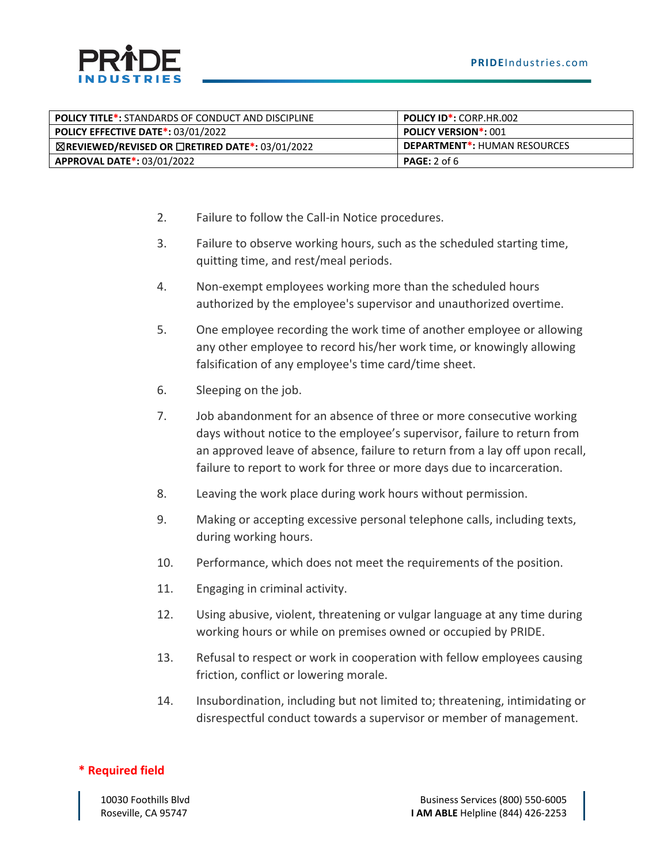| <b>POLICY TITLE*:</b> STANDARDS OF CONDUCT AND DISCIPLINE        | <b>POLICY ID*: CORP.HR.002</b> |  |
|------------------------------------------------------------------|--------------------------------|--|
| <b>POLICY EFFECTIVE DATE*: 03/01/2022</b>                        | <b>POLICY VERSION*: 001</b>    |  |
| $\boxtimes$ REVIEWED/REVISED OR $\Box$ RETIRED DATE*: 03/01/2022 | DEPARTMENT*: HUMAN RESOURCES   |  |
| <b>APPROVAL DATE*: 03/01/2022</b>                                | PAGE: 2 of 6                   |  |

- 2. Failure to follow the Call-in Notice procedures.
- 3. Failure to observe working hours, such as the scheduled starting time, quitting time, and rest/meal periods.
- 4. Non-exempt employees working more than the scheduled hours authorized by the employee's supervisor and unauthorized overtime.
- 5. One employee recording the work time of another employee or allowing any other employee to record his/her work time, or knowingly allowing falsification of any employee's time card/time sheet.
- 6. Sleeping on the job.
- 7. Job abandonment for an absence of three or more consecutive working days without notice to the employee's supervisor, failure to return from an approved leave of absence, failure to return from a lay off upon recall, failure to report to work for three or more days due to incarceration.
- 8. Leaving the work place during work hours without permission.
- 9. Making or accepting excessive personal telephone calls, including texts, during working hours.
- 10. Performance, which does not meet the requirements of the position.
- 11. Engaging in criminal activity.
- 12. Using abusive, violent, threatening or vulgar language at any time during working hours or while on premises owned or occupied by PRIDE.
- 13. Refusal to respect or work in cooperation with fellow employees causing friction, conflict or lowering morale.
- 14. Insubordination, including but not limited to; threatening, intimidating or disrespectful conduct towards a supervisor or member of management.

#### **\* Required field**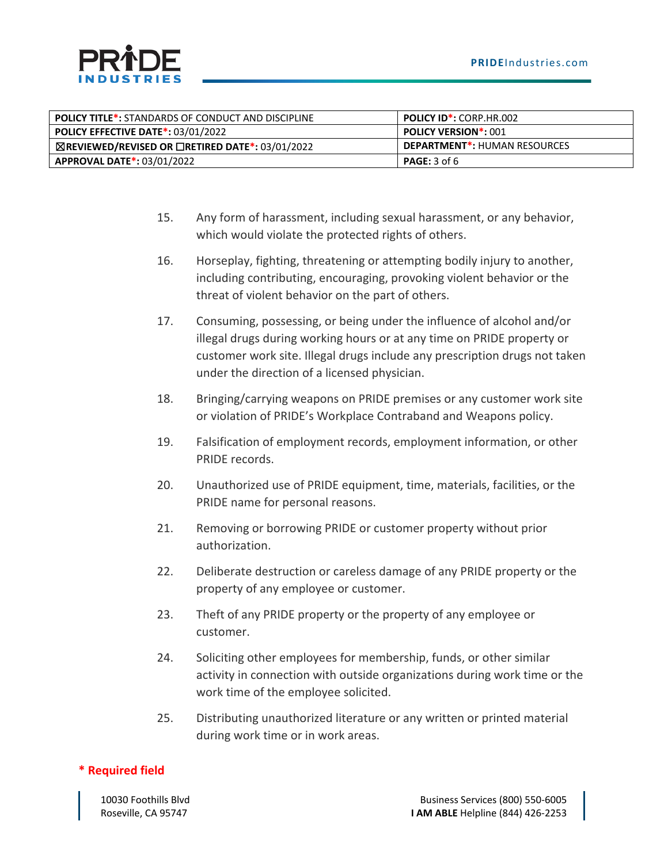

| <b>POLICY TITLE*:</b> STANDARDS OF CONDUCT AND DISCIPLINE        | <b>POLICY ID*: CORP.HR.002</b>      |  |
|------------------------------------------------------------------|-------------------------------------|--|
| <b>POLICY EFFECTIVE DATE*: 03/01/2022</b>                        | <b>POLICY VERSION*: 001</b>         |  |
| $\boxtimes$ REVIEWED/REVISED OR $\Box$ RETIRED DATE*: 03/01/2022 | <b>DEPARTMENT*: HUMAN RESOURCES</b> |  |
| <b>APPROVAL DATE*: 03/01/2022</b>                                | <b>PAGE:</b> 3 of 6                 |  |

- 15. Any form of harassment, including sexual harassment, or any behavior, which would violate the protected rights of others.
- 16. Horseplay, fighting, threatening or attempting bodily injury to another, including contributing, encouraging, provoking violent behavior or the threat of violent behavior on the part of others.
- 17. Consuming, possessing, or being under the influence of alcohol and/or illegal drugs during working hours or at any time on PRIDE property or customer work site. Illegal drugs include any prescription drugs not taken under the direction of a licensed physician.
- 18. Bringing/carrying weapons on PRIDE premises or any customer work site or violation of PRIDE's Workplace Contraband and Weapons policy.
- 19. Falsification of employment records, employment information, or other PRIDE records.
- 20. Unauthorized use of PRIDE equipment, time, materials, facilities, or the PRIDE name for personal reasons.
- 21. Removing or borrowing PRIDE or customer property without prior authorization.
- 22. Deliberate destruction or careless damage of any PRIDE property or the property of any employee or customer.
- 23. Theft of any PRIDE property or the property of any employee or customer.
- 24. Soliciting other employees for membership, funds, or other similar activity in connection with outside organizations during work time or the work time of the employee solicited.
- 25. Distributing unauthorized literature or any written or printed material during work time or in work areas.

#### **\* Required field**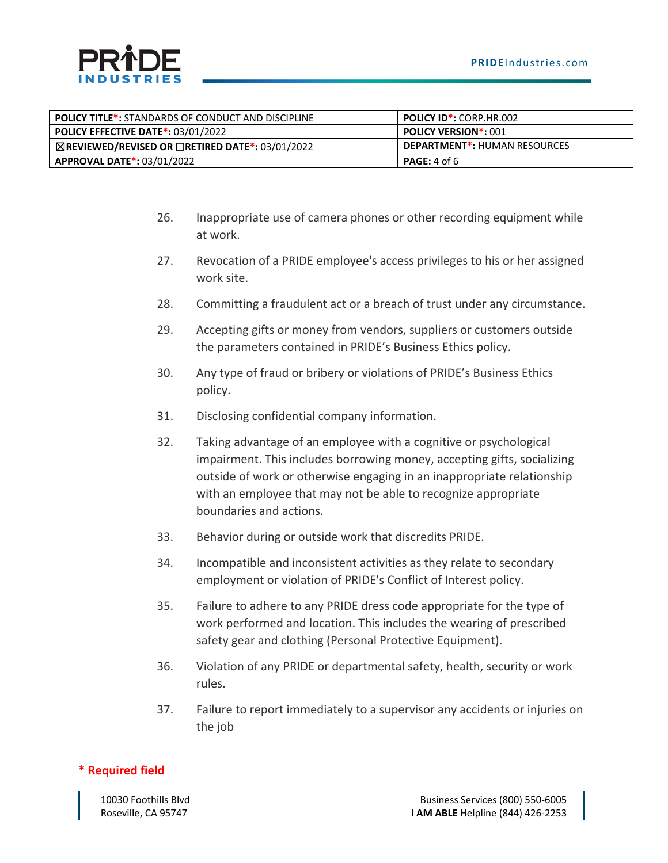

| <b>POLICY TITLE*:</b> STANDARDS OF CONDUCT AND DISCIPLINE        | <b>POLICY ID*: CORP.HR.002</b>      |  |
|------------------------------------------------------------------|-------------------------------------|--|
| <b>POLICY EFFECTIVE DATE*: 03/01/2022</b>                        | <b>POLICY VERSION*: 001</b>         |  |
| $\boxtimes$ REVIEWED/REVISED OR $\Box$ RETIRED DATE*: 03/01/2022 | <b>DEPARTMENT*: HUMAN RESOURCES</b> |  |
| <b>APPROVAL DATE*: 03/01/2022</b>                                | PAGE: 4 of 6                        |  |

- 26. Inappropriate use of camera phones or other recording equipment while at work.
- 27. Revocation of a PRIDE employee's access privileges to his or her assigned work site.
- 28. Committing a fraudulent act or a breach of trust under any circumstance.
- 29. Accepting gifts or money from vendors, suppliers or customers outside the parameters contained in PRIDE's Business Ethics policy.
- 30. Any type of fraud or bribery or violations of PRIDE's Business Ethics policy.
- 31. Disclosing confidential company information.
- 32. Taking advantage of an employee with a cognitive or psychological impairment. This includes borrowing money, accepting gifts, socializing outside of work or otherwise engaging in an inappropriate relationship with an employee that may not be able to recognize appropriate boundaries and actions.
- 33. Behavior during or outside work that discredits PRIDE.
- 34. Incompatible and inconsistent activities as they relate to secondary employment or violation of PRIDE's Conflict of Interest policy.
- 35. Failure to adhere to any PRIDE dress code appropriate for the type of work performed and location. This includes the wearing of prescribed safety gear and clothing (Personal Protective Equipment).
- 36. Violation of any PRIDE or departmental safety, health, security or work rules.
- 37. Failure to report immediately to a supervisor any accidents or injuries on the job

#### **\* Required field**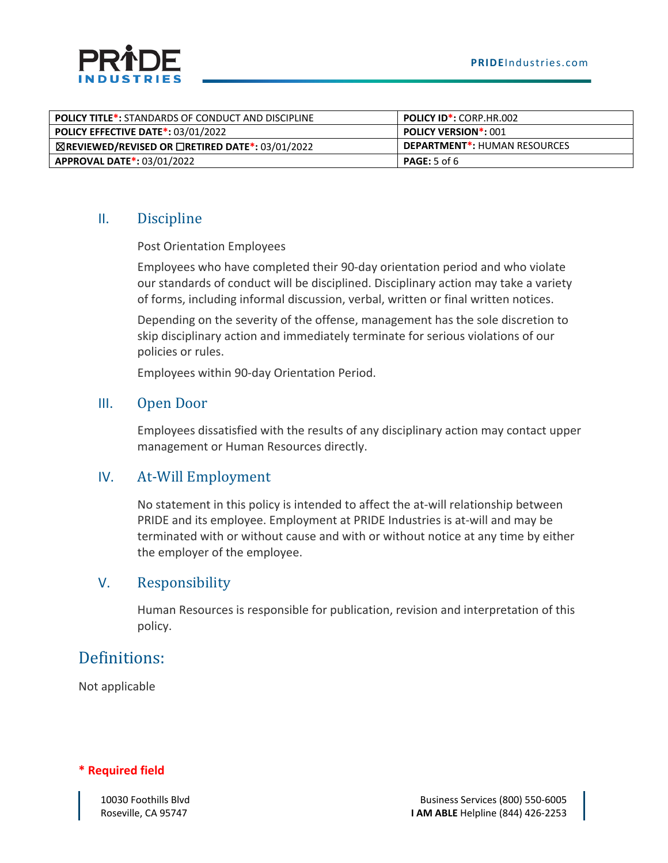

| <b>POLICY TITLE*: STANDARDS OF CONDUCT AND DISCIPLINE</b>        | <b>POLICY ID*: CORP.HR.002</b>      |  |
|------------------------------------------------------------------|-------------------------------------|--|
| <b>POLICY EFFECTIVE DATE*: 03/01/2022</b>                        | <b>POLICY VERSION*: 001</b>         |  |
| $\boxtimes$ REVIEWED/REVISED OR $\Box$ RETIRED DATE*: 03/01/2022 | <b>DEPARTMENT*: HUMAN RESOURCES</b> |  |
| <b>APPROVAL DATE*: 03/01/2022</b>                                | <b>PAGE:</b> 5 of 6                 |  |

#### II. Discipline

Post Orientation Employees

Employees who have completed their 90-day orientation period and who violate our standards of conduct will be disciplined. Disciplinary action may take a variety of forms, including informal discussion, verbal, written or final written notices.

Depending on the severity of the offense, management has the sole discretion to skip disciplinary action and immediately terminate for serious violations of our policies or rules.

Employees within 90-day Orientation Period.

#### III. Open Door

Employees dissatisfied with the results of any disciplinary action may contact upper management or Human Resources directly.

#### IV. At-Will Employment

No statement in this policy is intended to affect the at-will relationship between PRIDE and its employee. Employment at PRIDE Industries is at-will and may be terminated with or without cause and with or without notice at any time by either the employer of the employee.

#### V. Responsibility

Human Resources is responsible for publication, revision and interpretation of this policy.

## Definitions:

Not applicable

#### **\* Required field**